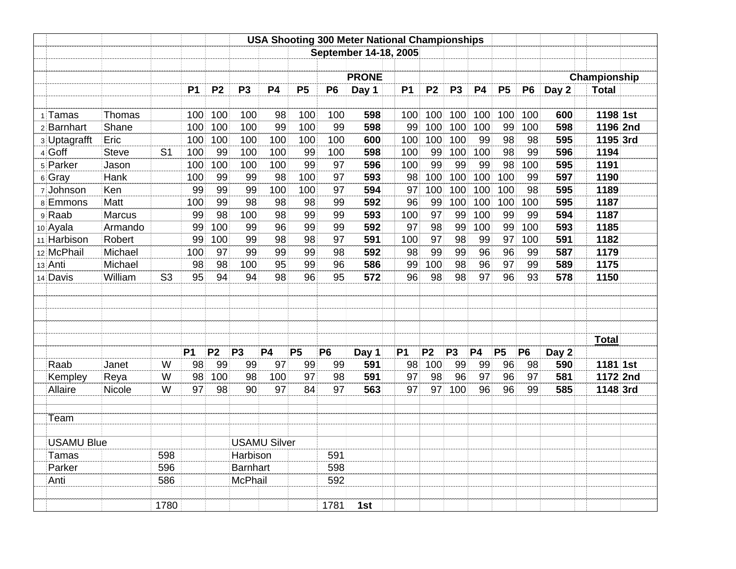|                   |               |                |           | <b>USA Shooting 300 Meter National Championships</b> |                       |                     |           |                |              |           |                |                |           |           |                |       |              |  |
|-------------------|---------------|----------------|-----------|------------------------------------------------------|-----------------------|---------------------|-----------|----------------|--------------|-----------|----------------|----------------|-----------|-----------|----------------|-------|--------------|--|
|                   |               |                |           |                                                      | September 14-18, 2005 |                     |           |                |              |           |                |                |           |           |                |       |              |  |
|                   |               |                |           |                                                      |                       |                     |           |                |              |           |                |                |           |           |                |       |              |  |
|                   |               |                |           |                                                      |                       |                     |           |                | <b>PRONE</b> |           |                |                |           |           |                |       | Championship |  |
|                   |               |                | <b>P1</b> | P <sub>2</sub>                                       | P <sub>3</sub>        | <b>P4</b>           | <b>P5</b> | P <sub>6</sub> | Day 1        | <b>P1</b> | <b>P2</b>      | P <sub>3</sub> | <b>P4</b> | <b>P5</b> | <b>P6</b>      | Day 2 | <b>Total</b> |  |
|                   |               |                |           |                                                      |                       |                     |           |                |              |           |                |                |           |           |                |       |              |  |
| 1 Tamas           | Thomas        |                | 100       | 100                                                  | 100                   | 98                  | 100       | 100            | 598          | 100       | 100            | 100            | 100       | 100       | 100            | 600   | 1198 1st     |  |
| 2 Barnhart        | Shane         |                | 100       | 100                                                  | 100                   | 99                  | 100       | 99             | 598          | 99        | 100            | 100            | 100       | 99        | 100            | 598   | 1196 2nd     |  |
| 3 Uptagrafft      | Eric          |                | 100       | 100                                                  | 100                   | 100                 | 100       | 100            | 600          | 100       | 100            | 100            | 99        | 98        | 98             | 595   | 1195 3rd     |  |
| 4 Goff            | <b>Steve</b>  | S <sub>1</sub> | 100       | 99                                                   | 100                   | 100                 | 99        | 100            | 598          | 100       | 99             | 100            | 100       | 98        | 99             | 596   | 1194         |  |
| 5 Parker          | Jason         |                | 100       | 100                                                  | 100                   | 100                 | 99        | 97             | 596          | 100       | 99             | 99             | 99        | 98        | 100            | 595   | 1191         |  |
| 6 Gray            | Hank          |                | 100       | 99                                                   | 99                    | 98                  | 100       | 97             | 593          | 98        | 100            | 100            | 100       | 100       | 99             | 597   | 1190         |  |
| 7 Johnson         | Ken           |                | 99        | 99                                                   | 99                    | 100                 | 100       | 97             | 594          | 97        | 100            | 100            | 100       | 100       | 98             | 595   | 1189         |  |
| 8 Emmons          | Matt          |                | 100       | 99                                                   | 98                    | 98                  | 98        | 99             | 592          | 96        | 99             | 100            | 100       | 100       | 100            | 595   | 1187         |  |
| 9 Raab            | Marcus        |                | 99        | 98                                                   | 100                   | 98                  | 99        | 99             | 593          | 100       | 97             | 99             | 100       | 99        | 99             | 594   | 1187         |  |
| 10 Ayala          | Armando       |                | 99        | 100                                                  | 99                    | 96                  | 99        | 99             | 592          | 97        | 98             | 99             | 100       | 99        | 100            | 593   | 1185         |  |
| 11 Harbison       | <b>Robert</b> |                | 99        | 100                                                  | 99                    | 98                  | 98        | 97             | 591          | 100       | 97             | 98             | 99        | 97        | 100            | 591   | 1182         |  |
| 12 McPhail        | Michael       |                | 100       | 97                                                   | 99                    | 99                  | 99        | 98             | 592          | 98        | 99             | 99             | 96        | 96        | 99             | 587   | 1179         |  |
| 13 Anti           | Michael       |                | 98        | 98                                                   | 100                   | 95                  | 99        | 96             | 586          | 99        | 100            | 98             | 96        | 97        | 99             | 589   | 1175         |  |
| 14 Davis          | William       | S <sub>3</sub> | 95        | 94                                                   | 94                    | 98                  | 96        | 95             | 572          | 96        | 98             | 98             | 97        | 96        | 93             | 578   | 1150         |  |
|                   |               |                |           |                                                      |                       |                     |           |                |              |           |                |                |           |           |                |       |              |  |
|                   |               |                |           |                                                      |                       |                     |           |                |              |           |                |                |           |           |                |       |              |  |
|                   |               |                |           |                                                      |                       |                     |           |                |              |           |                |                |           |           |                |       |              |  |
|                   |               |                |           |                                                      |                       |                     |           |                |              |           |                |                |           |           |                |       |              |  |
|                   |               |                |           |                                                      |                       |                     |           |                |              |           |                |                |           |           |                |       | <b>Total</b> |  |
|                   |               |                | <b>P1</b> | P <sub>2</sub>                                       | <b>P3</b>             | <b>P4</b>           | <b>P5</b> | <b>P6</b>      | Day 1        | <b>P1</b> | P <sub>2</sub> | P <sub>3</sub> | <b>P4</b> | <b>P5</b> | P <sub>6</sub> | Day 2 |              |  |
| Raab              | Janet         | W              | 98        | 99                                                   | 99                    | 97                  | 99        | 99             | 591          | 98        | 100            | 99             | 99        | 96        | 98             | 590   | 1181 1st     |  |
| Kempley           | Reya          | W              | 98        | 100                                                  | 98                    | 100                 | 97        | 98             | 591          | 97        | 98             | 96             | 97        | 96        | 97             | 581   | 1172 2nd     |  |
| Allaire           | Nicole        | W              | 97        | 98                                                   | 90                    | 97                  | 84        | 97             | 563          | 97        | 97             | 100            | 96        | 96        | 99             | 585   | 1148 3rd     |  |
|                   |               |                |           |                                                      |                       |                     |           |                |              |           |                |                |           |           |                |       |              |  |
| Team              |               |                |           |                                                      |                       |                     |           |                |              |           |                |                |           |           |                |       |              |  |
|                   |               |                |           |                                                      |                       |                     |           |                |              |           |                |                |           |           |                |       |              |  |
| <b>USAMU Blue</b> |               |                |           |                                                      |                       | <b>USAMU Silver</b> |           |                |              |           |                |                |           |           |                |       |              |  |
| Tamas             |               | 598            |           |                                                      | Harbison              |                     |           | 591            |              |           |                |                |           |           |                |       |              |  |
| Parker            |               | 596            |           |                                                      | <b>Barnhart</b>       |                     |           | 598            |              |           |                |                |           |           |                |       |              |  |
| Anti              |               | 586            |           |                                                      | <b>McPhail</b>        |                     |           | 592            |              |           |                |                |           |           |                |       |              |  |
|                   |               |                |           |                                                      |                       |                     |           |                |              |           |                |                |           |           |                |       |              |  |
|                   |               | 1780           |           |                                                      |                       |                     |           | 1781           | 1st          |           |                |                |           |           |                |       |              |  |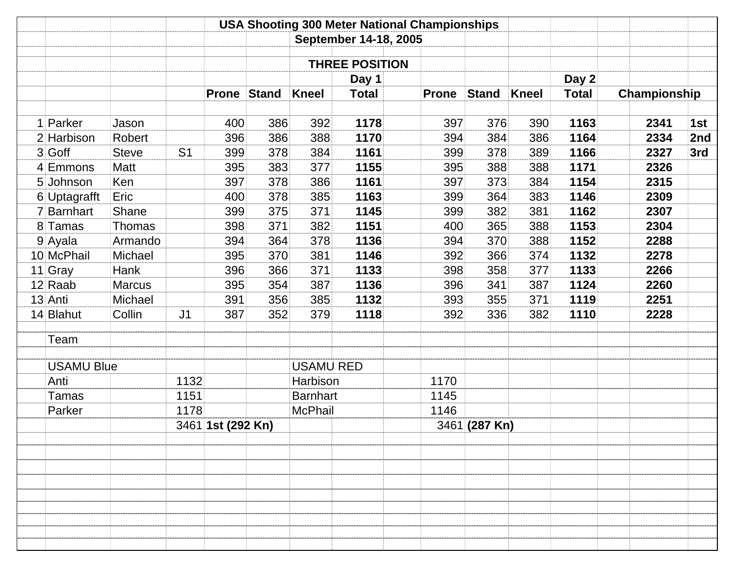|              |                   |               |                | <b>USA Shooting 300 Meter National Championships</b> |              |                  |                       |              |               |              |                       |              |     |
|--------------|-------------------|---------------|----------------|------------------------------------------------------|--------------|------------------|-----------------------|--------------|---------------|--------------|-----------------------|--------------|-----|
|              |                   |               |                |                                                      |              |                  | September 14-18, 2005 |              |               |              |                       |              |     |
|              |                   |               |                |                                                      |              |                  |                       |              |               |              |                       |              |     |
|              |                   |               |                |                                                      |              |                  | <b>THREE POSITION</b> |              |               |              |                       |              |     |
|              |                   |               |                | <b>Prone</b>                                         | <b>Stand</b> | <b>Kneel</b>     | Day 1<br><b>Total</b> | <b>Prone</b> | <b>Stand</b>  | <b>Kneel</b> | Day 2<br><b>Total</b> | Championship |     |
|              |                   |               |                |                                                      |              |                  |                       |              |               |              |                       |              |     |
| 1            | Parker            | Jason         |                | 400                                                  | 386          | 392              | 1178                  | 397          | 376           | 390          | 1163                  | 2341         | 1st |
|              | 2 Harbison        | Robert        |                | 396                                                  | 386          | 388              | 1170                  | 394          | 384           | 386          | 1164                  | 2334         | 2nd |
|              | $3 G$ off         | <b>Steve</b>  | S <sub>1</sub> | 399                                                  | 378          | 384              | 1161                  | 399          | 378           | 389          | 1166                  | 2327         | 3rd |
|              | 4 Emmons          | Matt          |                | 395                                                  | 383          | 377              | 1155                  | 395          | 388           | 388          | 1171                  | 2326         |     |
|              | 5 Johnson         | Ken           |                | 397                                                  | 378          | 386              | 1161                  | 397          | 373           | 384          | 1154                  | 2315         |     |
|              | 6 Uptagrafft      | Eric          |                | 400                                                  | 378          | 385              | 1163                  | 399          | 364           | 383          | 1146                  | 2309         |     |
| $\mathsf{7}$ | Barnhart          | Shane         |                | 399                                                  | 375          | 371              | 1145                  | 399          | 382           | 381          | 1162                  | 2307         |     |
|              | 8 Tamas           | Thomas        |                | 398                                                  | 371          | 382              | 1151                  | 400          | 365           | 388          | 1153                  | 2304         |     |
|              | $9$ Ayala         | Armando       |                | 394                                                  | 364          | 378              | 1136                  | 394          | 370           | 388          | 1152                  | 2288         |     |
|              | 10 McPhail        | Michael       |                | 395                                                  | 370          | 381              | 1146                  | 392          | 366           | 374          | 1132                  | 2278         |     |
|              | 11 Gray           | Hank          |                | 396                                                  | 366          | 371              | 1133                  | 398          | 358           | 377          | 1133                  | 2266         |     |
|              | $12$ Raab         | <b>Marcus</b> |                | 395                                                  | 354          | 387              | 1136                  | 396          | 341           | 387          | 1124                  | 2260         |     |
|              | 13 Anti           | Michael       |                | 391                                                  | 356          | 385              | 1132                  | 393          | 355           | 371          | 1119                  | 2251         |     |
|              | 14 Blahut         | Collin        | J <sub>1</sub> | 387                                                  | 352          | 379              | 1118                  | 392          | 336           | 382          | 1110                  | 2228         |     |
|              | Team              |               |                |                                                      |              |                  |                       |              |               |              |                       |              |     |
|              | <b>USAMU Blue</b> |               |                |                                                      |              | <b>USAMU RED</b> |                       |              |               |              |                       |              |     |
|              | Anti              |               | 1132           |                                                      |              | Harbison         |                       | 1170         |               |              |                       |              |     |
|              | Tamas             |               | 1151           |                                                      |              | <b>Barnhart</b>  |                       | 1145         |               |              |                       |              |     |
|              | Parker            |               | 1178           |                                                      |              | <b>McPhail</b>   |                       | 1146         |               |              |                       |              |     |
|              |                   |               |                | 3461 1st (292 Kn)                                    |              |                  |                       |              | 3461 (287 Kn) |              |                       |              |     |
|              |                   |               |                |                                                      |              |                  |                       |              |               |              |                       |              |     |
|              |                   |               |                |                                                      |              |                  |                       |              |               |              |                       |              |     |
|              |                   |               |                |                                                      |              |                  |                       |              |               |              |                       |              |     |
|              |                   |               |                |                                                      |              |                  |                       |              |               |              |                       |              |     |
|              |                   |               |                |                                                      |              |                  |                       |              |               |              |                       |              |     |
|              |                   |               |                |                                                      |              |                  |                       |              |               |              |                       |              |     |
|              |                   |               |                |                                                      |              |                  |                       |              |               |              |                       |              |     |
|              |                   |               |                |                                                      |              |                  |                       |              |               |              |                       |              |     |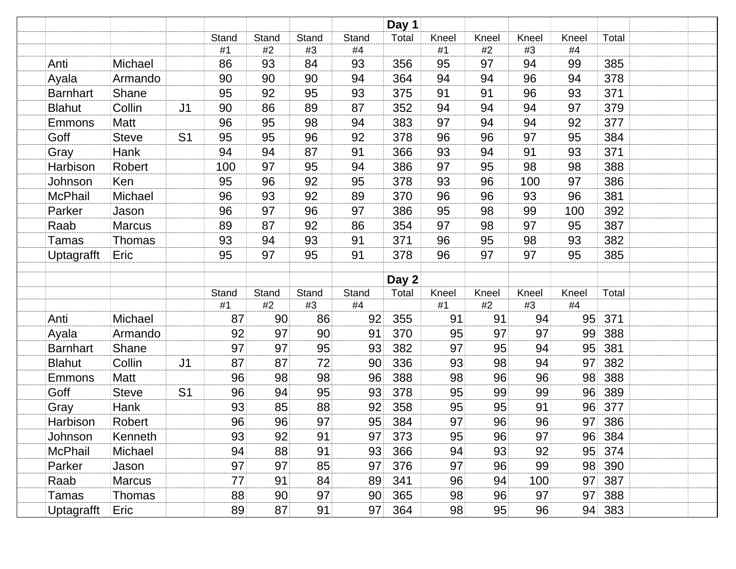|                   |               |                |          |          |             |          | Day 1 |          |             |          |          |       |  |
|-------------------|---------------|----------------|----------|----------|-------------|----------|-------|----------|-------------|----------|----------|-------|--|
|                   |               |                | Stand    | Stand    | Stand       | Stand    | Total | Kneel    | Kneel       | Kneel    | Kneel    | Total |  |
|                   |               |                | #1       | #2       | #3          | #4       |       | #1       | #2          | #3       | #4       |       |  |
| Anti              | Michael       |                | 86       | 93       | 84          | 93       | 356   | 95       | 97          | 94       | 99       | 385   |  |
| Ayala             | Armando       |                | 90       | 90       | 90          | 94       | 364   | 94       | 94          | 96       | 94       | 378   |  |
| <b>Barnhart</b>   | Shane         |                | 95       | 92       | 95          | 93       | 375   | 91       | 91          | 96       | 93       | 371   |  |
| <b>Blahut</b>     | Collin        | J <sub>1</sub> | 90       | 86       | 89          | 87       | 352   | 94       | 94          | 94       | 97       | 379   |  |
| Emmons            | Matt          |                | 96       | 95       | 98          | 94       | 383   | 97       | 94          | 94       | 92       | 377   |  |
| Goff              | <b>Steve</b>  | S <sub>1</sub> | 95       | 95       | 96          | 92       | 378   | 96       | 96          | 97       | 95       | 384   |  |
| Gray              | Hank          |                | 94       | 94       | 87          | 91       | 366   | 93       | 94          | 91       | 93       | 371   |  |
| Harbison          | Robert        |                | 100      | 97       | 95          | 94       | 386   | 97       | 95          | 98       | 98       | 388   |  |
| Johnson           | Ken           |                | 95       | 96       | 92          | 95       | 378   | 93       | 96          | 100      | 97       | 386   |  |
| McPhail           | Michael       |                | 96       | 93       | 92          | 89       | 370   | 96       | 96          | 93       | 96       | 381   |  |
| Parker            | Jason         |                | 96       | 97       | 96          | 97       | 386   | 95       | 98          | 99       | 100      | 392   |  |
| Raab              | <b>Marcus</b> |                | 89       | 87       | 92          | 86       | 354   | 97       | 98          | 97       | 95       | 387   |  |
| Tamas             | <b>Thomas</b> |                | 93       | 94       | 93          | 91       | 371   | 96       | 95          | 98       | 93       | 382   |  |
| Uptagrafft        | Eric          |                | 95       | 97       | 95          | 91       | 378   | 96       | 97          | 97       | 95       | 385   |  |
|                   |               |                |          |          |             |          |       |          |             |          |          |       |  |
|                   |               |                |          |          |             |          | Day 2 |          |             |          |          |       |  |
|                   |               |                | Stand    | Stand    | Stand<br>#3 | Stand    | Total | Kneel    | Kneel<br>#2 | Kneel    | Kneel    | Total |  |
| Anti              | Michael       |                | #1<br>87 | #2<br>90 | 86          | #4<br>92 | 355   | #1<br>91 | 91          | #3<br>94 | #4<br>95 | 371   |  |
|                   |               |                | 92       | 97       | 90          | 91       | 370   | 95       | 97          | 97       | 99       | 388   |  |
| Ayala             | Armando       |                | 97       |          | 95          |          |       | 97       |             |          |          |       |  |
| <b>Barnhart</b>   | Shane         |                | 87       | 97<br>87 | 72          | 93       | 382   | 93       | 95<br>98    | 94       | 95<br>97 | 381   |  |
| <b>Blahut</b>     | Collin        | J <sub>1</sub> |          |          |             | 90       | 336   |          |             | 94       |          | 382   |  |
| Emmons            | Matt          |                | 96       | 98       | 98          | 96       | 388   | 98       | 96          | 96       | 98       | 388   |  |
| Goff              | <b>Steve</b>  | S <sub>1</sub> | 96       | 94       | 95          | 93       | 378   | 95       | 99          | 99       | 96       | 389   |  |
| Gray              | Hank          |                | 93       | 85       | 88          | 92       | 358   | 95       | 95          | 91       | 96       | 377   |  |
| Harbison          | Robert        |                | 96       | 96       | 97          | 95       | 384   | 97       | 96          | 96       | 97       | 386   |  |
| Johnson           | Kenneth       |                | 93       | 92       | 91          | 97       | 373   | 95       | 96          | 97       | 96       | 384   |  |
| <b>McPhail</b>    | Michael       |                | 94       | 88       | 91          | 93       | 366   | 94       | 93          | 92       | 95       | 374   |  |
| Parker            | Jason         |                | 97       | 97       | 85          | 97       | 376   | 97       | 96          | 99       | 98       | 390   |  |
| Raab              | <b>Marcus</b> |                | 77       | 91       | 84          | 89       | 341   | 96       | 94          | 100      | 97       | 387   |  |
| Tamas             | <b>Thomas</b> |                | 88       | 90       | 97          | 90       | 365   | 98       | 96          | 97       | 97       | 388   |  |
| <b>Uptagrafft</b> | Eric          |                | 89       | 87       | 91          | 97       | 364   | 98       | 95          | 96       | 94       | 383   |  |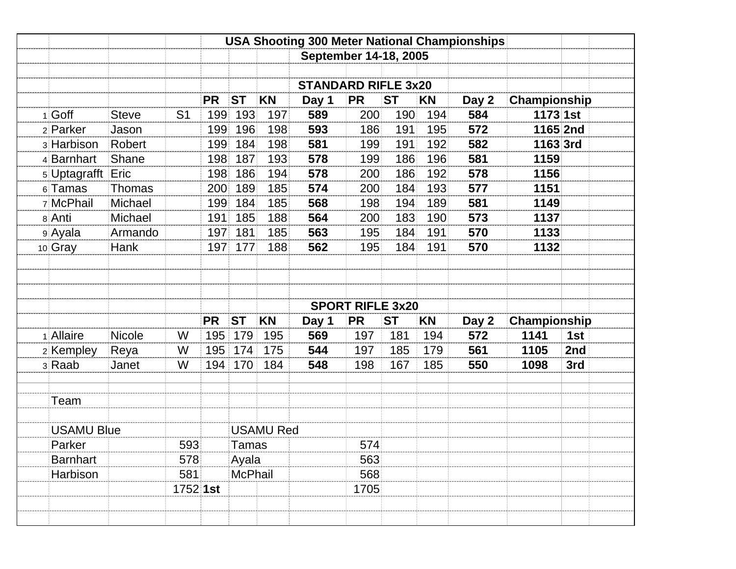|                   |               |                |           |                |                  |                            |                         |           |           | <b>USA Shooting 300 Meter National Championships</b> |              |     |
|-------------------|---------------|----------------|-----------|----------------|------------------|----------------------------|-------------------------|-----------|-----------|------------------------------------------------------|--------------|-----|
|                   |               |                |           |                |                  | September 14-18, 2005      |                         |           |           |                                                      |              |     |
|                   |               |                |           |                |                  | <b>STANDARD RIFLE 3x20</b> |                         |           |           |                                                      |              |     |
|                   |               |                | <b>PR</b> | <b>ST</b>      | <b>KN</b>        | Day 1                      | <b>PR</b>               | <b>ST</b> | <b>KN</b> | Day 2                                                | Championship |     |
| 1 Goff            | <b>Steve</b>  | S <sub>1</sub> | 199       | 193            | 197              | 589                        | 200                     | 190       | 194       | 584                                                  | $1173$ 1st   |     |
| 2 Parker          | Jason         |                | 199       | 196            | 198              | 593                        | 186                     | 191       | 195       | 572                                                  | 1165 2nd     |     |
| 3 Harbison        | Robert        |                | 199       | 184            | 198              | 581                        | 199                     | 191       | 192       | 582                                                  | 1163 3rd     |     |
| 4 Barnhart        | Shane         |                | 198       | 187            | 193              | 578                        | 199                     | 186       | 196       | 581                                                  | 1159         |     |
| 5 Uptagrafft      | Eric          |                | 198       | 186            | 194              | 578                        | 200                     | 186       | 192       | 578                                                  | 1156         |     |
| 6 Tamas           | <b>Thomas</b> |                | 200       | 189            | 185              | 574                        | 200                     | 184       | 193       | 577                                                  | 1151         |     |
| 7 McPhail         | Michael       |                | 199       | 184            | 185              | 568                        | 198                     | 194       | 189       | 581                                                  | 1149         |     |
| 8 Anti            | Michael       |                | 191       | 185            | 188              | 564                        | 200                     | 183       | 190       | 573                                                  | 1137         |     |
| 9 Ayala           | Armando       |                | 197       | 181            | 185              | 563                        | 195                     | 184       | 191       | 570                                                  | 1133         |     |
| 10 Gray           | <b>Hank</b>   |                | 197       | 177            | 188              | 562                        | 195                     | 184       | 191       | 570                                                  | 1132         |     |
|                   |               |                |           |                |                  |                            | <b>SPORT RIFLE 3x20</b> |           |           |                                                      |              |     |
|                   |               |                | <b>PR</b> | <b>ST</b>      | <b>KN</b>        | Day 1                      | <b>PR</b>               | <b>ST</b> | <b>KN</b> | Day 2                                                | Championship |     |
| 1 Allaire         | <b>Nicole</b> | W              | 195       | 179            | 195              | 569                        | 197                     | 181       | 194       | 572                                                  | 1141         | 1st |
| 2 Kempley         | Reya          | W              | 195       | 174            | 175              | 544                        | 197                     | 185       | 179       | 561                                                  | 1105         | 2nd |
| 3 Raab            | Janet         | W              | 194       | 170            | 184              | 548                        | 198                     | 167       | 185       | 550                                                  | 1098         | 3rd |
| Team              |               |                |           |                |                  |                            |                         |           |           |                                                      |              |     |
| <b>USAMU Blue</b> |               |                |           |                | <b>USAMU Red</b> |                            |                         |           |           |                                                      |              |     |
| Parker            |               | 593            |           | Tamas          |                  |                            | 574                     |           |           |                                                      |              |     |
| <b>Barnhart</b>   | 578           |                | Ayala     |                |                  | 563                        |                         |           |           |                                                      |              |     |
| Harbison          |               | 581            |           | <b>McPhail</b> |                  |                            | 568                     |           |           |                                                      |              |     |
|                   |               |                |           |                |                  |                            |                         |           |           |                                                      |              |     |